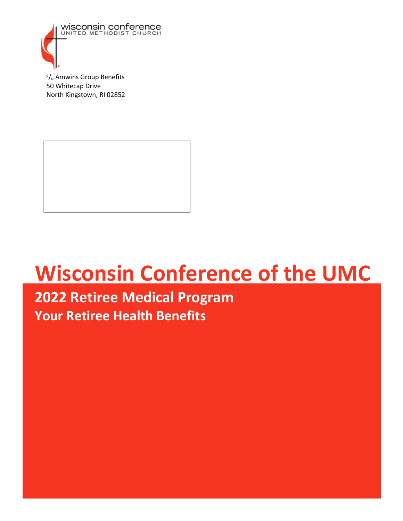

<sup>c</sup>/<sub>o</sub> Amwins Group Benefits 50 Whitecap Drive North Kingstown, RI 02852

# **Wisconsin Conference of the UMC**

## **2022 Retiree Medical Program Your Retiree Health Benefits**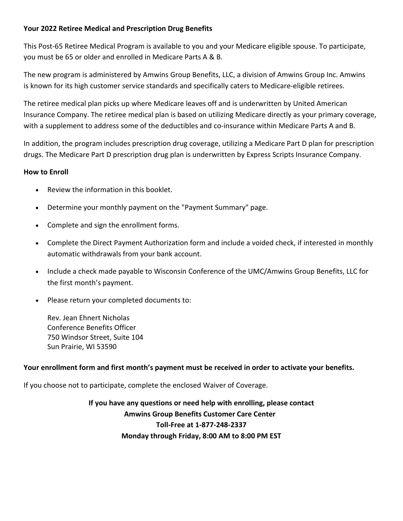#### **Your 2022 Retiree Medical and Prescription Drug Benefits**

This Post-65 Retiree Medical Program is available to you and your Medicare eligible spouse. To participate, you must be 65 or older and enrolled in Medicare Parts A & B.

The new program is administered by Amwins Group Benefits, LLC, a division of Amwins Group Inc. Amwins is known for its high customer service standards and specifically caters to Medicare-eligible retirees.

The retiree medical plan picks up where Medicare leaves off and is underwritten by United American Insurance Company. The retiree medical plan is based on utilizing Medicare directly as your primary coverage, with a supplement to address some of the deductibles and co-insurance within Medicare Parts A and B.

In addition, the program includes prescription drug coverage, utilizing a Medicare Part D plan for prescription drugs. The Medicare Part D prescription drug plan is underwritten by Express Scripts Insurance Company.

#### **How to Enroll**

- Review the information in this booklet.
- Determine your monthly payment on the "Payment Summary" page.
- Complete and sign the enrollment forms.
- Complete the Direct Payment Authorization form and include a voided check, if interested in monthly automatic withdrawals from your bank account.
- Include a check made payable to Wisconsin Conference of the UMC/Amwins Group Benefits, LLC for the first month's payment.
- Please return your completed documents to:

Rev. Jean Ehnert Nicholas Conference Benefits Officer 750 Windsor Street, Suite 104 Sun Prairie, WI 53590

#### **Your enrollment form and first month's payment must be received in order to activate your benefits.**

If you choose not to participate, complete the enclosed Waiver of Coverage.

**If you have any questions or need help with enrolling, please contact Amwins Group Benefits Customer Care Center Toll-Free at 1-877-248-2337 Monday through Friday, 8:00 AM to 8:00 PM EST**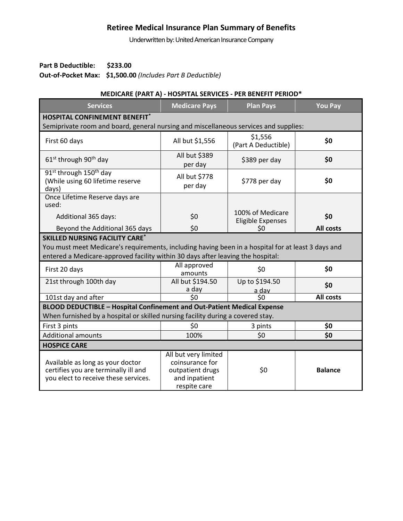## **Retiree Medical Insurance Plan Summary of Benefits**

Underwritten by: United American Insurance Company

**Part B Deductible: \$233.00 Out-of-Pocket Max: \$1,500.00** *(Includes Part B Deductible)*

#### **MEDICARE (PART A) - HOSPITAL SERVICES - PER BENEFIT PERIOD\***

| <b>Services</b>                                                                                                  | <b>Medicare Pays</b>                                                                         | <b>Plan Pays</b>                             | <b>You Pay</b> |
|------------------------------------------------------------------------------------------------------------------|----------------------------------------------------------------------------------------------|----------------------------------------------|----------------|
| <b>HOSPITAL CONFINEMENT BENEFIT*</b>                                                                             |                                                                                              |                                              |                |
| Semiprivate room and board, general nursing and miscellaneous services and supplies:                             |                                                                                              |                                              |                |
| First 60 days                                                                                                    | All but \$1,556                                                                              | \$1,556<br>(Part A Deductible)               | \$0            |
| $61st$ through 90 <sup>th</sup> day                                                                              | All but \$389<br>per day                                                                     | \$389 per day                                | \$0            |
| 91 <sup>st</sup> through 150 <sup>th</sup> day<br>(While using 60 lifetime reserve<br>days)                      | All but \$778<br>per day                                                                     | \$778 per day                                | \$0            |
| Once Lifetime Reserve days are<br>used:                                                                          |                                                                                              |                                              |                |
| Additional 365 days:                                                                                             | \$0                                                                                          | 100% of Medicare<br><b>Eligible Expenses</b> | \$0            |
| Beyond the Additional 365 days                                                                                   | \$0                                                                                          | \$0                                          | All costs      |
| <b>SKILLED NURSING FACILITY CARE*</b>                                                                            |                                                                                              |                                              |                |
| You must meet Medicare's requirements, including having been in a hospital for at least 3 days and               |                                                                                              |                                              |                |
| entered a Medicare-approved facility within 30 days after leaving the hospital:                                  |                                                                                              |                                              |                |
| First 20 days                                                                                                    | All approved<br>amounts                                                                      | \$0                                          | \$0            |
| 21st through 100th day                                                                                           | All but \$194.50<br>a day                                                                    | Up to \$194.50<br>a dav                      | \$0            |
| 101st day and after                                                                                              | \$0                                                                                          | \$0                                          | All costs      |
| BLOOD DEDUCTIBLE - Hospital Confinement and Out-Patient Medical Expense                                          |                                                                                              |                                              |                |
| When furnished by a hospital or skilled nursing facility during a covered stay.                                  |                                                                                              |                                              |                |
| First 3 pints                                                                                                    | \$0                                                                                          | 3 pints                                      | \$0            |
| <b>Additional amounts</b>                                                                                        | 100%                                                                                         | \$0                                          | \$0            |
| <b>HOSPICE CARE</b>                                                                                              |                                                                                              |                                              |                |
| Available as long as your doctor<br>certifies you are terminally ill and<br>you elect to receive these services. | All but very limited<br>coinsurance for<br>outpatient drugs<br>and inpatient<br>respite care | \$0                                          | <b>Balance</b> |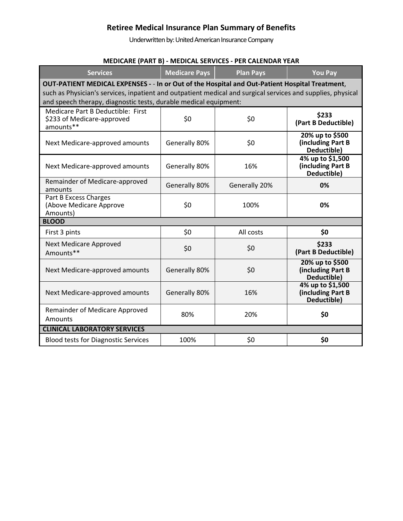## **Retiree Medical Insurance Plan Summary of Benefits**

Underwritten by: United American Insurance Company

## **MEDICARE (PART B) - MEDICAL SERVICES - PER CALENDAR YEAR**

| <b>Services</b>                                                                                                                                                                                                                                                                   | <b>Medicare Pays</b> | <b>Plan Pays</b> | <b>You Pay</b>                                       |
|-----------------------------------------------------------------------------------------------------------------------------------------------------------------------------------------------------------------------------------------------------------------------------------|----------------------|------------------|------------------------------------------------------|
| OUT-PATIENT MEDICAL EXPENSES - - In or Out of the Hospital and Out-Patient Hospital Treatment,<br>such as Physician's services, inpatient and outpatient medical and surgical services and supplies, physical<br>and speech therapy, diagnostic tests, durable medical equipment: |                      |                  |                                                      |
| Medicare Part B Deductible: First<br>\$233 of Medicare-approved<br>amounts**                                                                                                                                                                                                      | \$0                  | \$0              | \$233<br>(Part B Deductible)                         |
| Next Medicare-approved amounts                                                                                                                                                                                                                                                    | Generally 80%        | \$0              | 20% up to \$500<br>(including Part B<br>Deductible)  |
| Next Medicare-approved amounts                                                                                                                                                                                                                                                    | Generally 80%        | 16%              | 4% up to \$1,500<br>(including Part B<br>Deductible) |
| Remainder of Medicare-approved<br>amounts                                                                                                                                                                                                                                         | Generally 80%        | Generally 20%    | 0%                                                   |
| Part B Excess Charges<br>(Above Medicare Approve<br>Amounts)                                                                                                                                                                                                                      | \$0                  | 100%             | 0%                                                   |
| <b>BLOOD</b>                                                                                                                                                                                                                                                                      |                      |                  |                                                      |
| First 3 pints                                                                                                                                                                                                                                                                     | \$0                  | All costs        | \$0                                                  |
| <b>Next Medicare Approved</b><br>Amounts**                                                                                                                                                                                                                                        | \$0                  | \$0              | \$233<br>(Part B Deductible)                         |
| Next Medicare-approved amounts                                                                                                                                                                                                                                                    | Generally 80%        | \$0              | 20% up to \$500<br>(including Part B<br>Deductible)  |
| Next Medicare-approved amounts                                                                                                                                                                                                                                                    | Generally 80%        | 16%              | 4% up to \$1,500<br>(including Part B<br>Deductible) |
| Remainder of Medicare Approved<br>Amounts                                                                                                                                                                                                                                         | 80%                  | 20%              | \$0                                                  |
| <b>CLINICAL LABORATORY SERVICES</b>                                                                                                                                                                                                                                               |                      |                  |                                                      |
| <b>Blood tests for Diagnostic Services</b>                                                                                                                                                                                                                                        | 100%                 | \$0              | \$0                                                  |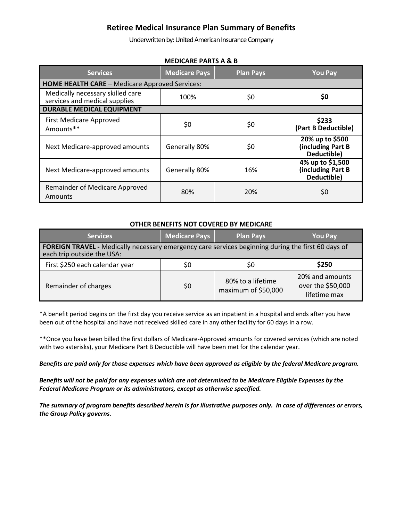#### **Retiree Medical Insurance Plan Summary of Benefits**

Underwritten by: United American Insurance Company

| Services                                                          | <b>Medicare Pays</b> | <b>Plan Pays</b> | <b>You Pay</b>                                       |
|-------------------------------------------------------------------|----------------------|------------------|------------------------------------------------------|
| <b>HOME HEALTH CARE - Medicare Approved Services:</b>             |                      |                  |                                                      |
| Medically necessary skilled care<br>services and medical supplies | 100%                 | \$0              | \$0                                                  |
| <b>DURABLE MEDICAL EQUIPMENT</b>                                  |                      |                  |                                                      |
| <b>First Medicare Approved</b><br>Amounts**                       | \$0                  | \$0              | \$233<br>(Part B Deductible)                         |
| Next Medicare-approved amounts                                    | Generally 80%        | \$0              | 20% up to \$500<br>(including Part B<br>Deductible)  |
| Next Medicare-approved amounts                                    | Generally 80%        | 16%              | 4% up to \$1,500<br>(including Part B<br>Deductible) |
| Remainder of Medicare Approved<br>Amounts                         | 80%                  | 20%              | \$0                                                  |

#### **MEDICARE PARTS A & B**

#### **OTHER BENEFITS NOT COVERED BY MEDICARE**

| <b>Services</b>                                                                                                                         | <b>Medicare Pays</b> | <b>Plan Pays</b>                         | <b>You Pay</b>                                       |
|-----------------------------------------------------------------------------------------------------------------------------------------|----------------------|------------------------------------------|------------------------------------------------------|
| <b>FOREIGN TRAVEL</b> - Medically necessary emergency care services beginning during the first 60 days of<br>each trip outside the USA: |                      |                                          |                                                      |
| First \$250 each calendar year                                                                                                          | \$0                  | \$0                                      | \$250                                                |
| Remainder of charges                                                                                                                    | \$0                  | 80% to a lifetime<br>maximum of \$50,000 | 20% and amounts<br>over the \$50,000<br>lifetime max |

\*A benefit period begins on the first day you receive service as an inpatient in a hospital and ends after you have been out of the hospital and have not received skilled care in any other facility for 60 days in a row.

\*\*Once you have been billed the first dollars of Medicare-Approved amounts for covered services (which are noted with two asterisks), your Medicare Part B Deductible will have been met for the calendar year.

*Benefits are paid only for those expenses which have been approved as eligible by the federal Medicare program.* 

*Benefits will not be paid for any expenses which are not determined to be Medicare Eligible Expenses by the Federal Medicare Program or its administrators, except as otherwise specified.* 

*The summary of program benefits described herein is for illustrative purposes only. In case of differences or errors, the Group Policy governs.*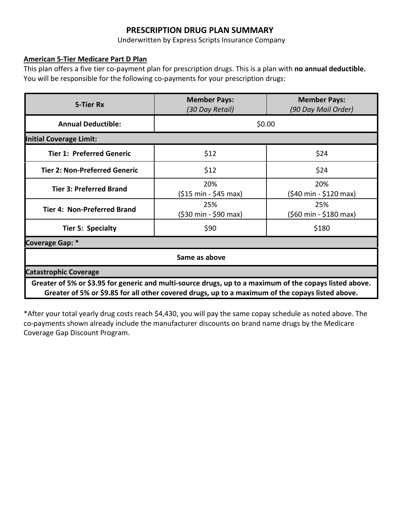## **PRESCRIPTION DRUG PLAN SUMMARY**

Underwritten by Express Scripts Insurance Company

#### **American 5-Tier Medicare Part D Plan**

This plan offers a five tier co-payment plan for prescription drugs. This is a plan with **no annual deductible.**  You will be responsible for the following co-payments for your prescription drugs:

| 5-Tier Rx                                                                                                                                                                                                   | <b>Member Pays:</b><br>(30 Day Retail)        | <b>Member Pays:</b><br>(90 Day Mail Order) |  |
|-------------------------------------------------------------------------------------------------------------------------------------------------------------------------------------------------------------|-----------------------------------------------|--------------------------------------------|--|
| <b>Annual Deductible:</b>                                                                                                                                                                                   | \$0.00                                        |                                            |  |
| <b>Initial Coverage Limit:</b>                                                                                                                                                                              |                                               |                                            |  |
| <b>Tier 1: Preferred Generic</b>                                                                                                                                                                            | \$12                                          | \$24                                       |  |
| <b>Tier 2: Non-Preferred Generic</b>                                                                                                                                                                        | \$12                                          | \$24                                       |  |
| <b>Tier 3: Preferred Brand</b>                                                                                                                                                                              | 20%<br>$( $15 \text{ min} - $45 \text{ max})$ | 20%<br>(\$40 min - \$120 max)              |  |
| <b>Tier 4: Non-Preferred Brand</b>                                                                                                                                                                          | 25%<br>(\$30 min - \$90 max)                  | 25%<br>(\$60 min - \$180 max)              |  |
| <b>Tier 5: Specialty</b>                                                                                                                                                                                    | \$90                                          | \$180                                      |  |
| Coverage Gap: *                                                                                                                                                                                             |                                               |                                            |  |
| Same as above                                                                                                                                                                                               |                                               |                                            |  |
| <b>Catastrophic Coverage</b>                                                                                                                                                                                |                                               |                                            |  |
| Greater of 5% or \$3.95 for generic and multi-source drugs, up to a maximum of the copays listed above.<br>Greater of 5% or \$9.85 for all other covered drugs, up to a maximum of the copays listed above. |                                               |                                            |  |

\*After your total yearly drug costs reach \$4,430, you will pay the same copay schedule as noted above. The co-payments shown already include the manufacturer discounts on brand name drugs by the Medicare Coverage Gap Discount Program.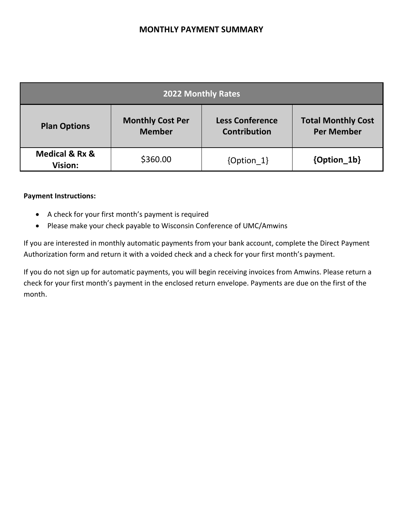## **MONTHLY PAYMENT SUMMARY**

| 2022 Monthly Rates                              |                                          |                                               |                                                |
|-------------------------------------------------|------------------------------------------|-----------------------------------------------|------------------------------------------------|
| <b>Plan Options</b>                             | <b>Monthly Cost Per</b><br><b>Member</b> | <b>Less Conference</b><br><b>Contribution</b> | <b>Total Monthly Cost</b><br><b>Per Member</b> |
| <b>Medical &amp; Rx &amp;</b><br><b>Vision:</b> | \$360.00                                 | $\{Option 1\}$                                | {Option_1b}                                    |

#### **Payment Instructions:**

- A check for your first month's payment is required
- Please make your check payable to Wisconsin Conference of UMC/Amwins

If you are interested in monthly automatic payments from your bank account, complete the Direct Payment Authorization form and return it with a voided check and a check for your first month's payment.

If you do not sign up for automatic payments, you will begin receiving invoices from Amwins. Please return a check for your first month's payment in the enclosed return envelope. Payments are due on the first of the month.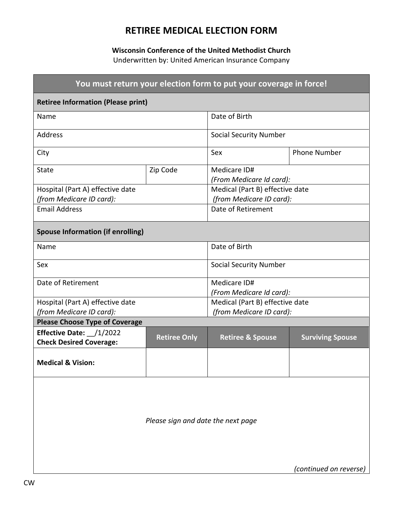## **RETIREE MEDICAL ELECTION FORM**

#### **Wisconsin Conference of the United Methodist Church**

Underwritten by: United American Insurance Company

| You must return your election form to put your coverage in force! |                     |                                          |                         |
|-------------------------------------------------------------------|---------------------|------------------------------------------|-------------------------|
| <b>Retiree Information (Please print)</b>                         |                     |                                          |                         |
| Name                                                              |                     | Date of Birth                            |                         |
| <b>Address</b>                                                    |                     | <b>Social Security Number</b>            |                         |
| City                                                              |                     | Sex                                      | <b>Phone Number</b>     |
| State                                                             | Zip Code            | Medicare ID#<br>(From Medicare Id card): |                         |
| Hospital (Part A) effective date                                  |                     | Medical (Part B) effective date          |                         |
| (from Medicare ID card):                                          |                     | (from Medicare ID card):                 |                         |
| <b>Email Address</b>                                              |                     | Date of Retirement                       |                         |
| <b>Spouse Information (if enrolling)</b>                          |                     |                                          |                         |
| Name                                                              |                     | Date of Birth                            |                         |
| Sex                                                               |                     | <b>Social Security Number</b>            |                         |
| Date of Retirement                                                |                     | Medicare ID#                             |                         |
|                                                                   |                     | (From Medicare Id card):                 |                         |
| Hospital (Part A) effective date                                  |                     | Medical (Part B) effective date          |                         |
| (from Medicare ID card):                                          |                     | (from Medicare ID card):                 |                         |
| <b>Please Choose Type of Coverage</b>                             |                     |                                          |                         |
| Effective Date: /1/2022<br><b>Check Desired Coverage:</b>         | <b>Retiree Only</b> | <b>Retiree &amp; Spouse</b>              | <b>Surviving Spouse</b> |
| <b>Medical &amp; Vision:</b>                                      |                     |                                          |                         |
|                                                                   |                     |                                          |                         |

*Please sign and date the next page* 

*(continued on reverse)*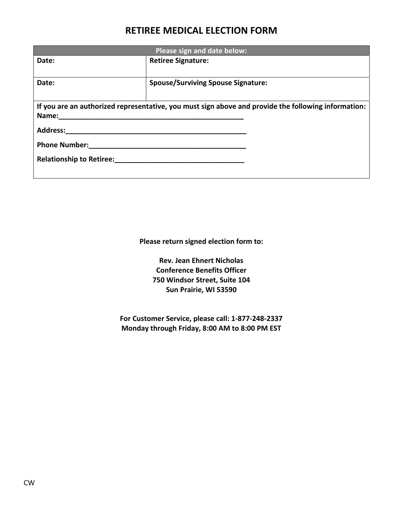## **RETIREE MEDICAL ELECTION FORM**

| Please sign and date below:     |                                                                                                     |  |
|---------------------------------|-----------------------------------------------------------------------------------------------------|--|
| Date:                           | <b>Retiree Signature:</b>                                                                           |  |
|                                 |                                                                                                     |  |
| Date:                           | <b>Spouse/Surviving Spouse Signature:</b>                                                           |  |
|                                 |                                                                                                     |  |
|                                 | If you are an authorized representative, you must sign above and provide the following information: |  |
| Name:                           |                                                                                                     |  |
| <b>Address:</b>                 |                                                                                                     |  |
| <b>Phone Number:</b>            |                                                                                                     |  |
| <b>Relationship to Retiree:</b> |                                                                                                     |  |
|                                 |                                                                                                     |  |

**Please return signed election form to:** 

**Rev. Jean Ehnert Nicholas Conference Benefits Officer 750 Windsor Street, Suite 104 Sun Prairie, WI 53590** 

**For Customer Service, please call: 1-877-248-2337 Monday through Friday, 8:00 AM to 8:00 PM EST**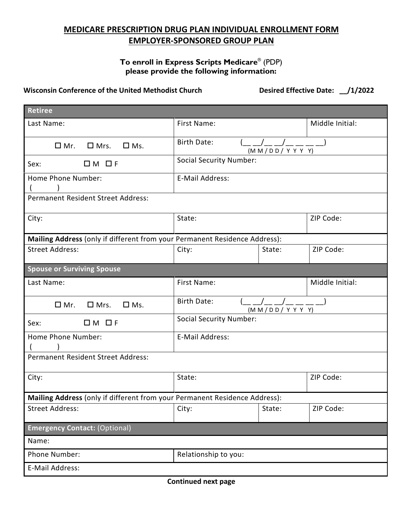## **MEDICARE PRESCRIPTION DRUG PLAN INDIVIDUAL ENROLLMENT FORM EMPLOYER-SPONSORED GROUP PLAN**

#### **To enroll in Express Scripts Medicare** ® (PDP) **please provide the following information:**

#### **Wisconsin Conference of the United Methodist Church Desired Effective Date: \_\_/1/2022**

| <b>Retiree</b>                                                             |                                        |                     |                 |
|----------------------------------------------------------------------------|----------------------------------------|---------------------|-----------------|
| Last Name:                                                                 | First Name:                            |                     | Middle Initial: |
| $\Box$ Mr.<br>$\square$ Mrs.<br>$\Box$ Ms.                                 | <b>Birth Date:</b>                     | (M M/D D / Y Y Y Y) |                 |
| $\Box M$ $\Box F$<br>Sex:                                                  | <b>Social Security Number:</b>         |                     |                 |
| Home Phone Number:                                                         | E-Mail Address:                        |                     |                 |
| <b>Permanent Resident Street Address:</b>                                  |                                        |                     |                 |
| City:                                                                      | State:                                 |                     | ZIP Code:       |
| Mailing Address (only if different from your Permanent Residence Address): |                                        |                     |                 |
| <b>Street Address:</b>                                                     | City:                                  | State:              | ZIP Code:       |
| <b>Spouse or Surviving Spouse</b>                                          |                                        |                     |                 |
| Last Name:                                                                 | First Name:                            |                     | Middle Initial: |
| $\Box$ Mr.<br>$\square$ Ms.<br>$\square$ Mrs.                              | <b>Birth Date:</b><br>(M M/DD / Y Y Y) |                     |                 |
| Sex:<br>$\Box M$ $\Box F$                                                  | <b>Social Security Number:</b>         |                     |                 |
| Home Phone Number:                                                         | E-Mail Address:                        |                     |                 |
| Permanent Resident Street Address:                                         |                                        |                     |                 |
| City:                                                                      | State:                                 |                     | ZIP Code:       |
| Mailing Address (only if different from your Permanent Residence Address): |                                        |                     |                 |
| <b>Street Address:</b>                                                     | City:                                  | State:              | ZIP Code:       |
| <b>Emergency Contact: (Optional)</b>                                       |                                        |                     |                 |
| Name:                                                                      |                                        |                     |                 |
| Phone Number:                                                              | Relationship to you:                   |                     |                 |
| E-Mail Address:                                                            |                                        |                     |                 |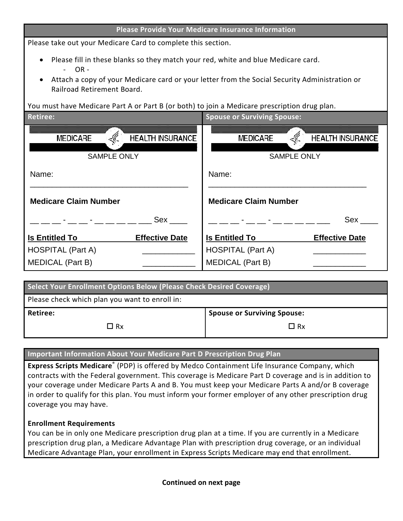#### **Please Provide Your Medicare Insurance Information**

Please take out your Medicare Card to complete this section.

- Please fill in these blanks so they match your red, white and blue Medicare card. - OR -
- Attach a copy of your Medicare card or your letter from the Social Security Administration or Railroad Retirement Board.

You must have Medicare Part A or Part B (or both) to join a Medicare prescription drug plan.

| <b>Retiree:</b>                                                  | <b>Spouse or Surviving Spouse:</b>                                      |
|------------------------------------------------------------------|-------------------------------------------------------------------------|
| <b>HEALTH INSURANCE</b><br><b>MEDICARE</b><br><b>SAMPLE ONLY</b> | <b>MEDICARE</b><br><b>HEALTH INSURANCE</b><br>< 0<br><b>SAMPLE ONLY</b> |
| Name:                                                            | Name:                                                                   |
| <b>Medicare Claim Number</b>                                     | <b>Medicare Claim Number</b>                                            |
| Sex<br><b>Harry Committee</b>                                    | Sex<br>- 2-11                                                           |
| <b>Is Entitled To</b><br><b>Effective Date</b>                   | <b>Is Entitled To</b><br><b>Effective Date</b>                          |
| <b>HOSPITAL (Part A)</b>                                         | <b>HOSPITAL (Part A)</b>                                                |
| <b>MEDICAL (Part B)</b>                                          | <b>MEDICAL (Part B)</b>                                                 |

| Select Your Enrollment Options Below (Please Check Desired Coverage) |                                    |
|----------------------------------------------------------------------|------------------------------------|
| Please check which plan you want to enroll in:                       |                                    |
| <b>Retiree:</b>                                                      | <b>Spouse or Surviving Spouse:</b> |
| $\Box$ Rx                                                            | $\Box$ Rx                          |

#### **Important Information About Your Medicare Part D Prescription Drug Plan**

**Express Scripts Medicare**® (PDP) is offered by Medco Containment Life Insurance Company, which contracts with the Federal government. This coverage is Medicare Part D coverage and is in addition to your coverage under Medicare Parts A and B. You must keep your Medicare Parts A and/or B coverage in order to qualify for this plan. You must inform your former employer of any other prescription drug coverage you may have.

#### **Enrollment Requirements**

You can be in only one Medicare prescription drug plan at a time. If you are currently in a Medicare prescription drug plan, a Medicare Advantage Plan with prescription drug coverage, or an individual Medicare Advantage Plan, your enrollment in Express Scripts Medicare may end that enrollment.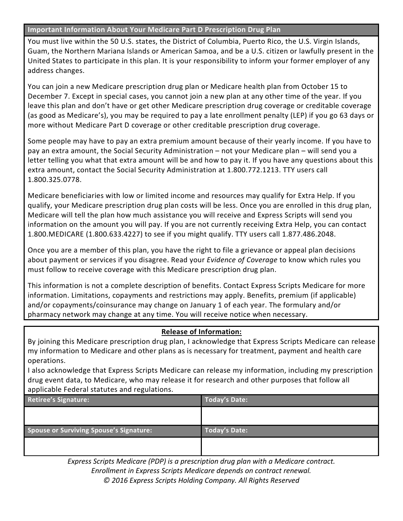#### **Important Information About Your Medicare Part D Prescription Drug Plan**

You must live within the 50 U.S. states, the District of Columbia, Puerto Rico, the U.S. Virgin Islands, Guam, the Northern Mariana Islands or American Samoa, and be a U.S. citizen or lawfully present in the United States to participate in this plan. It is your responsibility to inform your former employer of any address changes.

You can join a new Medicare prescription drug plan or Medicare health plan from October 15 to December 7. Except in special cases, you cannot join a new plan at any other time of the year. If you leave this plan and don't have or get other Medicare prescription drug coverage or creditable coverage (as good as Medicare's), you may be required to pay a late enrollment penalty (LEP) if you go 63 days or more without Medicare Part D coverage or other creditable prescription drug coverage.

Some people may have to pay an extra premium amount because of their yearly income. If you have to pay an extra amount, the Social Security Administration – not your Medicare plan – will send you a letter telling you what that extra amount will be and how to pay it. If you have any questions about this extra amount, contact the Social Security Administration at 1.800.772.1213. TTY users call 1.800.325.0778.

Medicare beneficiaries with low or limited income and resources may qualify for Extra Help. If you qualify, your Medicare prescription drug plan costs will be less. Once you are enrolled in this drug plan, Medicare will tell the plan how much assistance you will receive and Express Scripts will send you information on the amount you will pay. If you are not currently receiving Extra Help, you can contact 1.800.MEDICARE (1.800.633.4227) to see if you might qualify. TTY users call 1.877.486.2048.

Once you are a member of this plan, you have the right to file a grievance or appeal plan decisions about payment or services if you disagree. Read your *Evidence of Coverage* to know which rules you must follow to receive coverage with this Medicare prescription drug plan.

This information is not a complete description of benefits. Contact Express Scripts Medicare for more information. Limitations, copayments and restrictions may apply. Benefits, premium (if applicable) and/or copayments/coinsurance may change on January 1 of each year. The formulary and/or pharmacy network may change at any time. You will receive notice when necessary.

#### **Release of Information:**

By joining this Medicare prescription drug plan, I acknowledge that Express Scripts Medicare can release my information to Medicare and other plans as is necessary for treatment, payment and health care operations.

I also acknowledge that Express Scripts Medicare can release my information, including my prescription drug event data, to Medicare, who may release it for research and other purposes that follow all applicable Federal statutes and regulations.

| . .<br><b>Retiree's Signature:</b>             | <b>Today's Date:</b> |
|------------------------------------------------|----------------------|
|                                                |                      |
|                                                |                      |
| <b>Spouse or Surviving Spouse's Signature:</b> | <b>Today's Date:</b> |
|                                                |                      |
|                                                |                      |

*Express Scripts Medicare (PDP) is a prescription drug plan with a Medicare contract. Enrollment in Express Scripts Medicare depends on contract renewal. © 2016 Express Scripts Holding Company. All Rights Reserved*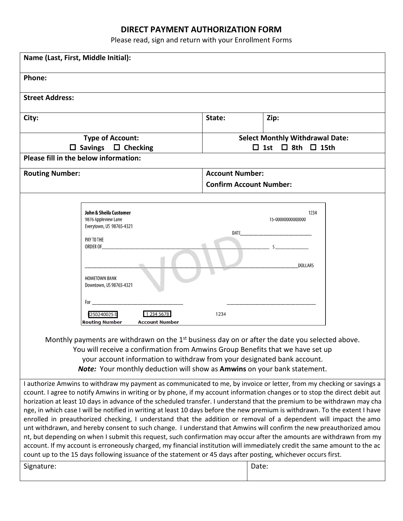## **DIRECT PAYMENT AUTHORIZATION FORM**

Please read, sign and return with your Enrollment Forms

| Name (Last, First, Middle Initial):                                                                                                                                                                                                                                                                                                                                                                                                                                                                                                                                                                                                                                                                                                                                                                                                                                                                                                                                                                                                                                                                                                                 |                                                                                                                                                                                                                                                           |                                                                                |                                            |  |  |
|-----------------------------------------------------------------------------------------------------------------------------------------------------------------------------------------------------------------------------------------------------------------------------------------------------------------------------------------------------------------------------------------------------------------------------------------------------------------------------------------------------------------------------------------------------------------------------------------------------------------------------------------------------------------------------------------------------------------------------------------------------------------------------------------------------------------------------------------------------------------------------------------------------------------------------------------------------------------------------------------------------------------------------------------------------------------------------------------------------------------------------------------------------|-----------------------------------------------------------------------------------------------------------------------------------------------------------------------------------------------------------------------------------------------------------|--------------------------------------------------------------------------------|--------------------------------------------|--|--|
| Phone:                                                                                                                                                                                                                                                                                                                                                                                                                                                                                                                                                                                                                                                                                                                                                                                                                                                                                                                                                                                                                                                                                                                                              |                                                                                                                                                                                                                                                           |                                                                                |                                            |  |  |
| <b>Street Address:</b>                                                                                                                                                                                                                                                                                                                                                                                                                                                                                                                                                                                                                                                                                                                                                                                                                                                                                                                                                                                                                                                                                                                              |                                                                                                                                                                                                                                                           |                                                                                |                                            |  |  |
| City:                                                                                                                                                                                                                                                                                                                                                                                                                                                                                                                                                                                                                                                                                                                                                                                                                                                                                                                                                                                                                                                                                                                                               |                                                                                                                                                                                                                                                           | State:                                                                         | Zip:                                       |  |  |
| <b>Type of Account:</b><br>$\Box$ Savings $\Box$ Checking                                                                                                                                                                                                                                                                                                                                                                                                                                                                                                                                                                                                                                                                                                                                                                                                                                                                                                                                                                                                                                                                                           |                                                                                                                                                                                                                                                           | <b>Select Monthly Withdrawal Date:</b><br>$\Box$ 8th $\Box$ 15th<br>$\Box$ 1st |                                            |  |  |
|                                                                                                                                                                                                                                                                                                                                                                                                                                                                                                                                                                                                                                                                                                                                                                                                                                                                                                                                                                                                                                                                                                                                                     | Please fill in the below information:                                                                                                                                                                                                                     |                                                                                |                                            |  |  |
| <b>Routing Number:</b>                                                                                                                                                                                                                                                                                                                                                                                                                                                                                                                                                                                                                                                                                                                                                                                                                                                                                                                                                                                                                                                                                                                              |                                                                                                                                                                                                                                                           | <b>Account Number:</b><br><b>Confirm Account Number:</b>                       |                                            |  |  |
|                                                                                                                                                                                                                                                                                                                                                                                                                                                                                                                                                                                                                                                                                                                                                                                                                                                                                                                                                                                                                                                                                                                                                     | <b>John &amp; Sheila Customer</b><br>9876 Appleview Lane<br>Everytown, US 98765-4321<br>PAY TO THE<br>ORDER OF<br><b>HOMETOWN BANK</b><br>Downtown, US 98765-4321<br>For<br>:250240025 l:<br>1 234 5678<br><b>Routing Number</b><br><b>Account Number</b> | DATE<br>1234                                                                   | 1234<br>15-0000000000000<br><b>DOLLARS</b> |  |  |
| Monthly payments are withdrawn on the $1st$ business day on or after the date you selected above.<br>You will receive a confirmation from Amwins Group Benefits that we have set up<br>your account information to withdraw from your designated bank account.<br>Note: Your monthly deduction will show as Amwins on your bank statement.                                                                                                                                                                                                                                                                                                                                                                                                                                                                                                                                                                                                                                                                                                                                                                                                          |                                                                                                                                                                                                                                                           |                                                                                |                                            |  |  |
| I authorize Amwins to withdraw my payment as communicated to me, by invoice or letter, from my checking or savings a<br>ccount. I agree to notify Amwins in writing or by phone, if my account information changes or to stop the direct debit aut<br>horization at least 10 days in advance of the scheduled transfer. I understand that the premium to be withdrawn may cha<br>nge, in which case I will be notified in writing at least 10 days before the new premium is withdrawn. To the extent I have<br>enrolled in preauthorized checking, I understand that the addition or removal of a dependent will impact the amo<br>unt withdrawn, and hereby consent to such change. I understand that Amwins will confirm the new preauthorized amou<br>nt, but depending on when I submit this request, such confirmation may occur after the amounts are withdrawn from my<br>account. If my account is erroneously charged, my financial institution will immediately credit the same amount to the ac<br>count up to the 15 days following issuance of the statement or 45 days after posting, whichever occurs first.<br>Signature:<br>Date: |                                                                                                                                                                                                                                                           |                                                                                |                                            |  |  |
|                                                                                                                                                                                                                                                                                                                                                                                                                                                                                                                                                                                                                                                                                                                                                                                                                                                                                                                                                                                                                                                                                                                                                     |                                                                                                                                                                                                                                                           |                                                                                |                                            |  |  |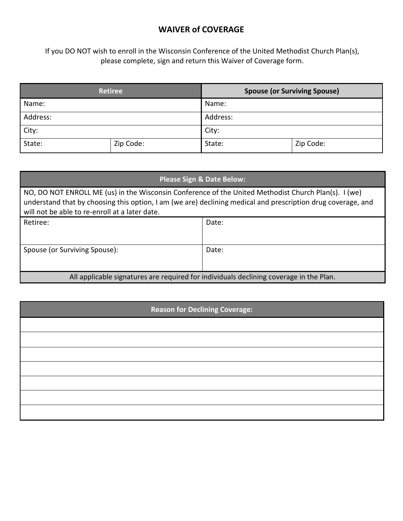## **WAIVER of COVERAGE**

If you DO NOT wish to enroll in the Wisconsin Conference of the United Methodist Church Plan(s), please complete, sign and return this Waiver of Coverage form.

| <b>Retiree</b> |           | <b>Spouse (or Surviving Spouse)</b> |           |  |
|----------------|-----------|-------------------------------------|-----------|--|
| Name:          |           | Name:                               |           |  |
| Address:       |           | Address:                            |           |  |
| City:          |           | City:                               |           |  |
| State:         | Zip Code: | State:                              | Zip Code: |  |

| <b>Please Sign &amp; Date Below:</b>                                                                                                                                                                                                                                   |       |  |  |  |  |
|------------------------------------------------------------------------------------------------------------------------------------------------------------------------------------------------------------------------------------------------------------------------|-------|--|--|--|--|
| NO, DO NOT ENROLL ME (us) in the Wisconsin Conference of the United Methodist Church Plan(s). I (we)<br>understand that by choosing this option, I am (we are) declining medical and prescription drug coverage, and<br>will not be able to re-enroll at a later date. |       |  |  |  |  |
| Retiree:                                                                                                                                                                                                                                                               | Date: |  |  |  |  |
| Spouse (or Surviving Spouse):                                                                                                                                                                                                                                          | Date: |  |  |  |  |
| All applicable signatures are required for individuals declining coverage in the Plan.                                                                                                                                                                                 |       |  |  |  |  |

## **Reason for Declining Coverage:**

| <b>Example 2016</b> |  |  |  |  |
|---------------------|--|--|--|--|
|                     |  |  |  |  |
|                     |  |  |  |  |
|                     |  |  |  |  |
|                     |  |  |  |  |
|                     |  |  |  |  |
|                     |  |  |  |  |
|                     |  |  |  |  |
|                     |  |  |  |  |
|                     |  |  |  |  |
|                     |  |  |  |  |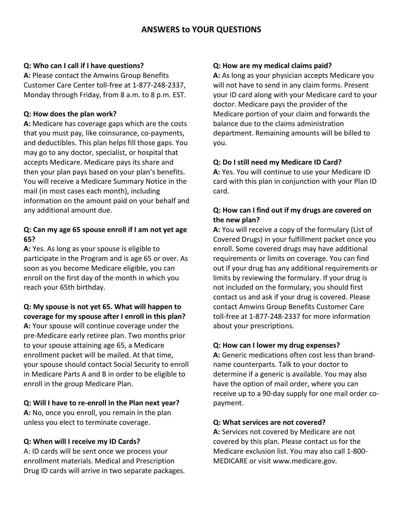#### **Q: Who can I call if I have questions?**

**A:** Please contact the Amwins Group Benefits Customer Care Center toll-free at 1-877-248-2337, Monday through Friday, from 8 a.m. to 8 p.m. EST.

#### **Q: How does the plan work?**

**A:** Medicare has coverage gaps which are the costs that you must pay, like coinsurance, co-payments, and deductibles. This plan helps fill those gaps. You may go to any doctor, specialist, or hospital that accepts Medicare. Medicare pays its share and then your plan pays based on your plan's benefits. You will receive a Medicare Summary Notice in the mail (in most cases each month), including information on the amount paid on your behalf and any additional amount due.

## **Q: Can my age 65 spouse enroll if I am not yet age 65?**

**A:** Yes. As long as your spouse is eligible to participate in the Program and is age 65 or over. As soon as you become Medicare eligible, you can enroll on the first day of the month in which you reach your 65th birthday.

#### **Q: My spouse is not yet 65. What will happen to coverage for my spouse after I enroll in this plan?**

**A:** Your spouse will continue coverage under the pre-Medicare early retiree plan. Two months prior to your spouse attaining age 65, a Medicare enrollment packet will be mailed. At that time, your spouse should contact Social Security to enroll in Medicare Parts A and B in order to be eligible to enroll in the group Medicare Plan.

## **Q: Will I have to re-enroll in the Plan next year?**

**A:** No, once you enroll, you remain in the plan unless you elect to terminate coverage.

## **Q: When will I receive my ID Cards?**

A: ID cards will be sent once we process your enrollment materials. Medical and Prescription Drug ID cards will arrive in two separate packages.

#### **Q: How are my medical claims paid?**

**A:** As long as your physician accepts Medicare you will not have to send in any claim forms. Present your ID card along with your Medicare card to your doctor. Medicare pays the provider of the Medicare portion of your claim and forwards the balance due to the claims administration department. Remaining amounts will be billed to you.

#### **Q: Do I still need my Medicare ID Card?**

**A:** Yes. You will continue to use your Medicare ID card with this plan in conjunction with your Plan ID card.

#### **Q: How can I find out if my drugs are covered on the new plan?**

**A:** You will receive a copy of the formulary (List of Covered Drugs) in your fulfillment packet once you enroll. Some covered drugs may have additional requirements or limits on coverage. You can find out if your drug has any additional requirements or limits by reviewing the formulary. If your drug is not included on the formulary, you should first contact us and ask if your drug is covered. Please contact Amwins Group Benefits Customer Care toll-free at 1-877-248-2337 for more information about your prescriptions.

#### **Q: How can I lower my drug expenses?**

**A:** Generic medications often cost less than brandname counterparts. Talk to your doctor to determine if a generic is available. You may also have the option of mail order, where you can receive up to a 90-day supply for one mail order copayment.

#### **Q: What services are not covered?**

**A:** Services not covered by Medicare are not covered by this plan. Please contact us for the Medicare exclusion list. You may also call 1-800- MEDICARE or visit www.medicare.gov.